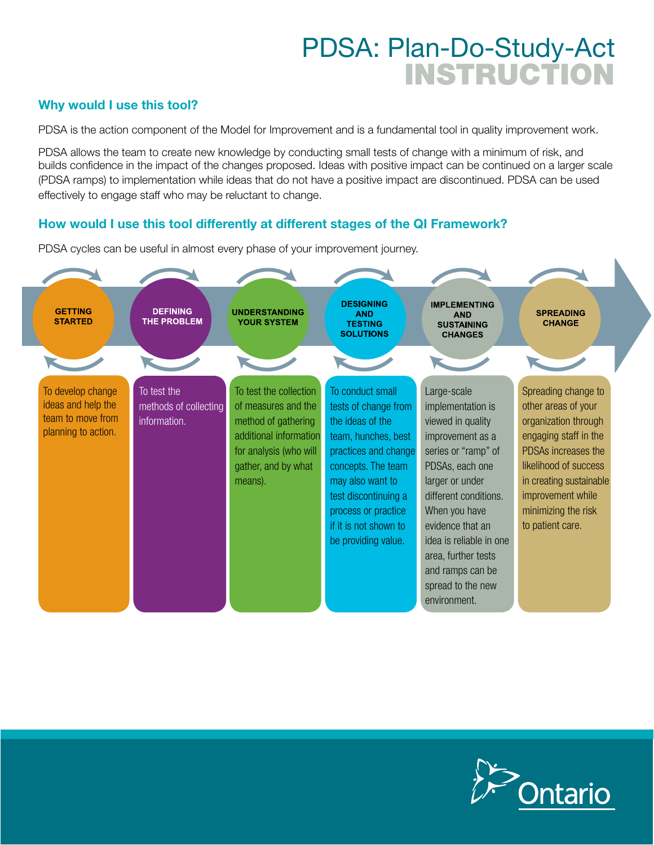## PDSA: Plan-Do-Study-Act INSTRUCTION

#### Why would I use this tool?

PDSA is the action component of the Model for Improvement and is a fundamental tool in quality improvement work.

PDSA allows the team to create new knowledge by conducting small tests of change with a minimum of risk, and builds confidence in the impact of the changes proposed. Ideas with positive impact can be continued on a larger scale (PDSA ramps) to implementation while ideas that do not have a positive impact are discontinued. PDSA can be used effectively to engage staff who may be reluctant to change.

#### How would I use this tool differently at different stages of the QI Framework?

PDSA cycles can be useful in almost every phase of your improvement journey.



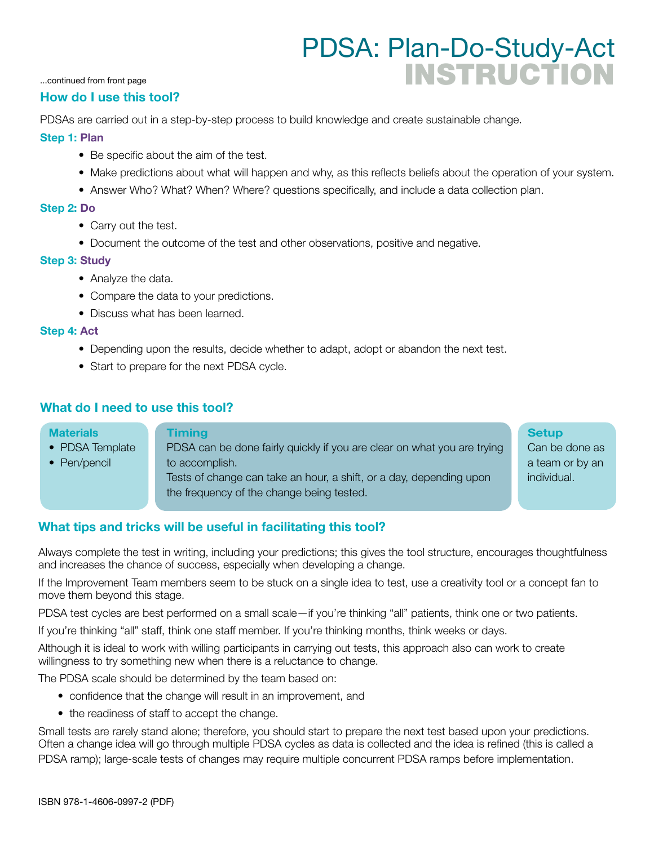### PDSA: Plan-Do-Study-Act INSTRUCTION

...continued from front page

#### How do I use this tool?

PDSAs are carried out in a step-by-step process to build knowledge and create sustainable change.

#### Step 1: Plan

- Be specific about the aim of the test.
- Make predictions about what will happen and why, as this reflects beliefs about the operation of your system.
- Answer Who? What? When? Where? questions specifically, and include a data collection plan.

#### Step 2: Do

- Carry out the test.
- Document the outcome of the test and other observations, positive and negative.

#### Step 3: Study

- Analyze the data.
- Compare the data to your predictions.
- Discuss what has been learned.

#### Step 4: Act

- Depending upon the results, decide whether to adapt, adopt or abandon the next test.
- Start to prepare for the next PDSA cycle.

#### What do I need to use this tool?

#### **Materials** • PDSA Template • Pen/pencil Timing PDSA can be done fairly quickly if you are clear on what you are trying to accomplish. Tests of change can take an hour, a shift, or a day, depending upon the frequency of the change being tested. **Setup** Can be done as a team or by an individual.

#### What tips and tricks will be useful in facilitating this tool?

Always complete the test in writing, including your predictions; this gives the tool structure, encourages thoughtfulness and increases the chance of success, especially when developing a change.

If the Improvement Team members seem to be stuck on a single idea to test, use a creativity tool or a concept fan to move them beyond this stage.

PDSA test cycles are best performed on a small scale—if you're thinking "all" patients, think one or two patients.

If you're thinking "all" staff, think one staff member. If you're thinking months, think weeks or days.

Although it is ideal to work with willing participants in carrying out tests, this approach also can work to create willingness to try something new when there is a reluctance to change.

The PDSA scale should be determined by the team based on:

- confidence that the change will result in an improvement, and
- the readiness of staff to accept the change.

Small tests are rarely stand alone; therefore, you should start to prepare the next test based upon your predictions. Often a change idea will go through multiple PDSA cycles as data is collected and the idea is refined (this is called a PDSA ramp); large-scale tests of changes may require multiple concurrent PDSA ramps before implementation.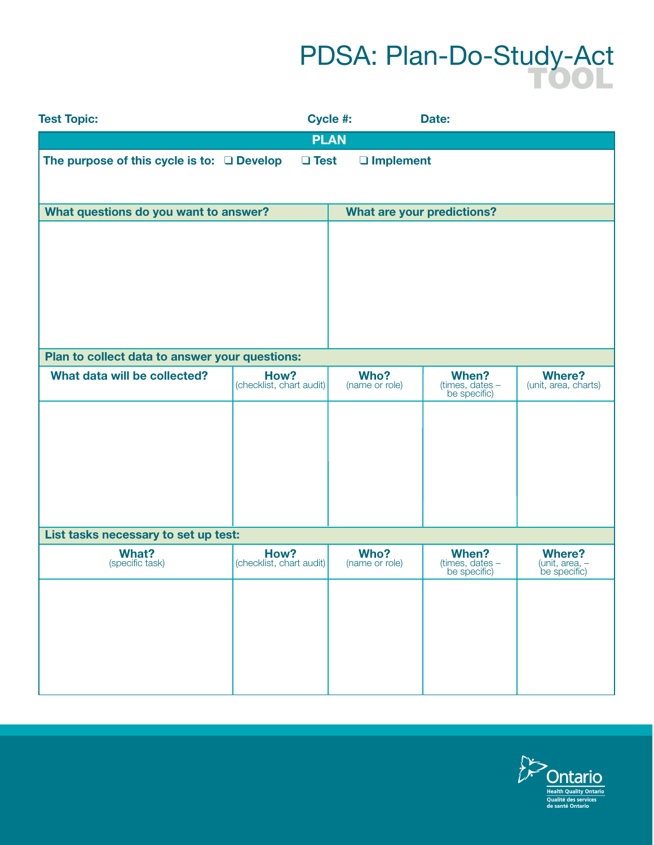# PDSA: Plan-Do-Study-Act

| <b>Test Topic:</b>                              |                                  | Cycle #:                          | Date:                                    |                                                 |  |
|-------------------------------------------------|----------------------------------|-----------------------------------|------------------------------------------|-------------------------------------------------|--|
|                                                 |                                  | <b>PLAN</b>                       |                                          |                                                 |  |
| The purpose of this cycle is to: $\Box$ Develop | $\Box$ Test                      | □ Implement                       |                                          |                                                 |  |
| What questions do you want to answer?           |                                  | <b>What are your predictions?</b> |                                          |                                                 |  |
|                                                 |                                  |                                   |                                          |                                                 |  |
| Plan to collect data to answer your questions:  |                                  |                                   |                                          |                                                 |  |
| What data will be collected?                    | How?<br>(checklist, chart audit) | Who?<br>(name or role)            | When?<br>(times, dates -<br>be specific) | <b>Where?</b><br>(unit, area, charts)           |  |
|                                                 |                                  |                                   |                                          |                                                 |  |
| List tasks necessary to set up test:            |                                  |                                   |                                          |                                                 |  |
| <b>What?</b><br>(specific task)                 | How?<br>(checklist, chart audit) | Who?<br>(name or role)            | When?<br>(times, dates -<br>be specific) | <b>Where?</b><br>(unit, area, -<br>be specific) |  |
|                                                 |                                  |                                   |                                          |                                                 |  |